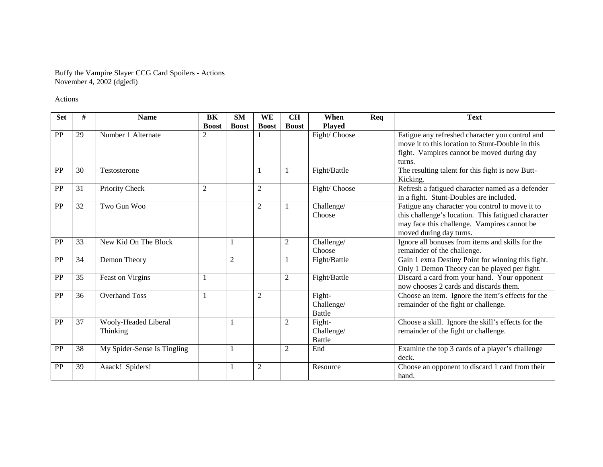Buffy the Vampire Slayer CCG Card Spoilers - Actions November 4, 2002 (dgjedi)

Actions

| <b>Set</b> | #  | <b>Name</b>                      | <b>BK</b>      | <b>SM</b>    | WE             | <b>CH</b>      | When                                  | Req | <b>Text</b>                                                                                                                                                                     |
|------------|----|----------------------------------|----------------|--------------|----------------|----------------|---------------------------------------|-----|---------------------------------------------------------------------------------------------------------------------------------------------------------------------------------|
|            |    |                                  | <b>Boost</b>   | <b>Boost</b> | <b>Boost</b>   | <b>Boost</b>   | <b>Played</b>                         |     |                                                                                                                                                                                 |
| <b>PP</b>  | 29 | Number 1 Alternate               | 2              |              |                |                | Fight/Choose                          |     | Fatigue any refreshed character you control and<br>move it to this location to Stunt-Double in this<br>fight. Vampires cannot be moved during day<br>turns.                     |
| PP         | 30 | Testosterone                     |                |              |                |                | Fight/Battle                          |     | The resulting talent for this fight is now Butt-<br>Kicking.                                                                                                                    |
| PP         | 31 | Priority Check                   | $\overline{c}$ |              | $\overline{c}$ |                | Fight/ Choose                         |     | Refresh a fatigued character named as a defender<br>in a fight. Stunt-Doubles are included.                                                                                     |
| PP         | 32 | Two Gun Woo                      |                |              | 2              |                | Challenge/<br>Choose                  |     | Fatigue any character you control to move it to<br>this challenge's location. This fatigued character<br>may face this challenge. Vampires cannot be<br>moved during day turns. |
| PP         | 33 | New Kid On The Block             |                |              |                | 2              | Challenge/<br>Choose                  |     | Ignore all bonuses from items and skills for the<br>remainder of the challenge.                                                                                                 |
| PP         | 34 | Demon Theory                     |                | $\mathbf{2}$ |                |                | Fight/Battle                          |     | Gain 1 extra Destiny Point for winning this fight.<br>Only 1 Demon Theory can be played per fight.                                                                              |
| PP         | 35 | Feast on Virgins                 | 1              |              |                | $\overline{2}$ | Fight/Battle                          |     | Discard a card from your hand. Your opponent<br>now chooses 2 cards and discards them.                                                                                          |
| PP         | 36 | <b>Overhand Toss</b>             |                |              | $\overline{2}$ |                | Fight-<br>Challenge/<br><b>Battle</b> |     | Choose an item. Ignore the item's effects for the<br>remainder of the fight or challenge.                                                                                       |
| PP         | 37 | Wooly-Headed Liberal<br>Thinking |                |              |                | $\overline{2}$ | Fight-<br>Challenge/<br><b>Battle</b> |     | Choose a skill. Ignore the skill's effects for the<br>remainder of the fight or challenge.                                                                                      |
| PP         | 38 | My Spider-Sense Is Tingling      |                |              |                | 2              | End                                   |     | Examine the top 3 cards of a player's challenge<br>deck.                                                                                                                        |
| <b>PP</b>  | 39 | Aaack! Spiders!                  |                |              | $\overline{2}$ |                | Resource                              |     | Choose an opponent to discard 1 card from their<br>hand.                                                                                                                        |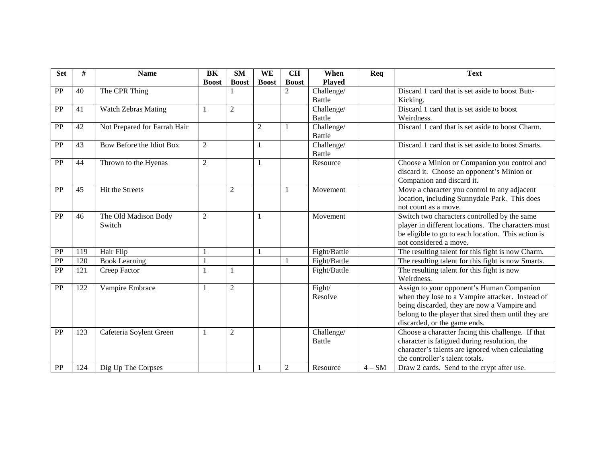| <b>Set</b>      | #   | <b>Name</b>                  | BK             | <b>SM</b>      | WE           | CH             | When          | Req    | <b>Text</b>                                         |
|-----------------|-----|------------------------------|----------------|----------------|--------------|----------------|---------------|--------|-----------------------------------------------------|
|                 |     |                              | <b>Boost</b>   | <b>Boost</b>   | <b>Boost</b> | <b>Boost</b>   | <b>Played</b> |        |                                                     |
| PP              | 40  | The CPR Thing                |                |                |              | $\overline{2}$ | Challenge/    |        | Discard 1 card that is set aside to boost Butt-     |
|                 |     |                              |                |                |              |                | <b>Battle</b> |        | Kicking.                                            |
| PP              | 41  | <b>Watch Zebras Mating</b>   | 1              | $\overline{2}$ |              |                | Challenge/    |        | Discard 1 card that is set aside to boost           |
|                 |     |                              |                |                |              |                | Battle        |        | Weirdness.                                          |
| PP              | 42  | Not Prepared for Farrah Hair |                |                | 2            |                | Challenge/    |        | Discard 1 card that is set aside to boost Charm.    |
|                 |     |                              |                |                |              |                | <b>Battle</b> |        |                                                     |
| PP              | 43  | Bow Before the Idiot Box     | $\overline{2}$ |                |              |                | Challenge/    |        | Discard 1 card that is set aside to boost Smarts.   |
|                 |     |                              |                |                |              |                | <b>Battle</b> |        |                                                     |
| PP              | 44  | Thrown to the Hyenas         | $\overline{2}$ |                |              |                | Resource      |        | Choose a Minion or Companion you control and        |
|                 |     |                              |                |                |              |                |               |        | discard it. Choose an opponent's Minion or          |
|                 |     |                              |                |                |              |                |               |        | Companion and discard it.                           |
| PP              | 45  | Hit the Streets              |                | $\overline{2}$ |              |                | Movement      |        | Move a character you control to any adjacent        |
|                 |     |                              |                |                |              |                |               |        | location, including Sunnydale Park. This does       |
|                 |     |                              |                |                |              |                |               |        | not count as a move.                                |
| PP              | 46  | The Old Madison Body         | $\overline{2}$ |                |              |                | Movement      |        | Switch two characters controlled by the same        |
|                 |     | Switch                       |                |                |              |                |               |        | player in different locations. The characters must  |
|                 |     |                              |                |                |              |                |               |        | be eligible to go to each location. This action is  |
|                 |     |                              |                |                |              |                |               |        | not considered a move.                              |
| PP              | 119 | Hair Flip                    | 1              |                |              |                | Fight/Battle  |        | The resulting talent for this fight is now Charm.   |
| $\overline{PP}$ | 120 | <b>Book Learning</b>         | 1              |                |              |                | Fight/Battle  |        | The resulting talent for this fight is now Smarts.  |
| PP              | 121 | Creep Factor                 | 1              | 1              |              |                | Fight/Battle  |        | The resulting talent for this fight is now          |
|                 |     |                              |                |                |              |                |               |        | Weirdness.                                          |
| PP              | 122 | Vampire Embrace              | $\mathbf{1}$   | $\mathbf{2}$   |              |                | Fight/        |        | Assign to your opponent's Human Companion           |
|                 |     |                              |                |                |              |                | Resolve       |        | when they lose to a Vampire attacker. Instead of    |
|                 |     |                              |                |                |              |                |               |        | being discarded, they are now a Vampire and         |
|                 |     |                              |                |                |              |                |               |        | belong to the player that sired them until they are |
|                 |     |                              |                |                |              |                |               |        | discarded, or the game ends.                        |
| PP              | 123 | Cafeteria Soylent Green      | 1              | $\mathfrak{2}$ |              |                | Challenge/    |        | Choose a character facing this challenge. If that   |
|                 |     |                              |                |                |              |                | Battle        |        | character is fatigued during resolution, the        |
|                 |     |                              |                |                |              |                |               |        | character's talents are ignored when calculating    |
|                 |     |                              |                |                |              |                |               |        | the controller's talent totals.                     |
| PP              | 124 | Dig Up The Corpses           |                |                |              | 2              | Resource      | $4-SM$ | Draw 2 cards. Send to the crypt after use.          |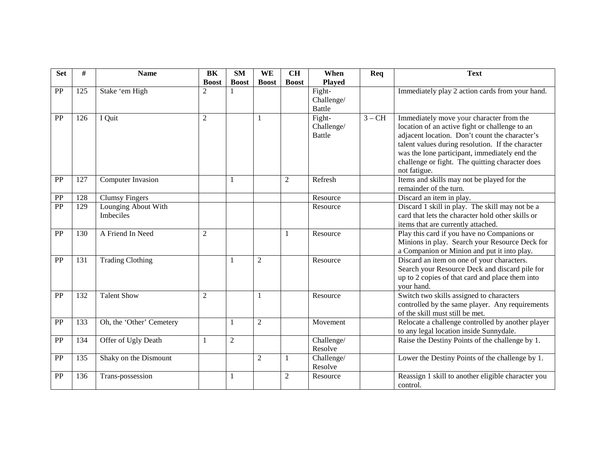| <b>Set</b>      | #                | <b>Name</b>              | BK             | <b>SM</b>      | WE             | <b>CH</b>        | When          | Req      | <b>Text</b>                                                    |
|-----------------|------------------|--------------------------|----------------|----------------|----------------|------------------|---------------|----------|----------------------------------------------------------------|
|                 |                  |                          | <b>Boost</b>   | <b>Boost</b>   | <b>Boost</b>   | <b>Boost</b>     | <b>Played</b> |          |                                                                |
| PP              | 125              | Stake 'em High           | 2              |                |                |                  | Fight-        |          | Immediately play 2 action cards from your hand.                |
|                 |                  |                          |                |                |                |                  | Challenge/    |          |                                                                |
|                 |                  |                          |                |                |                |                  | <b>Battle</b> |          |                                                                |
| PP              | 126              | I Quit                   | 2              |                |                |                  | Fight-        | $3 - CH$ | Immediately move your character from the                       |
|                 |                  |                          |                |                |                |                  | Challenge/    |          | location of an active fight or challenge to an                 |
|                 |                  |                          |                |                |                |                  | <b>Battle</b> |          | adjacent location. Don't count the character's                 |
|                 |                  |                          |                |                |                |                  |               |          | talent values during resolution. If the character              |
|                 |                  |                          |                |                |                |                  |               |          | was the lone participant, immediately end the                  |
|                 |                  |                          |                |                |                |                  |               |          | challenge or fight. The quitting character does                |
|                 |                  |                          |                |                |                |                  |               |          | not fatigue.                                                   |
| PP              | 127              | Computer Invasion        |                | 1              |                | $\boldsymbol{2}$ | Refresh       |          | Items and skills may not be played for the                     |
|                 |                  |                          |                |                |                |                  |               |          | remainder of the turn.                                         |
| PP              | 128              | <b>Clumsy Fingers</b>    |                |                |                |                  | Resource      |          | Discard an item in play.                                       |
| PP              | 129              | Lounging About With      |                |                |                |                  | Resource      |          | Discard 1 skill in play. The skill may not be a                |
|                 |                  | Imbeciles                |                |                |                |                  |               |          | card that lets the character hold other skills or              |
|                 |                  |                          |                |                |                |                  |               |          | items that are currently attached.                             |
| PP              | 130              | A Friend In Need         | 2              |                |                |                  | Resource      |          | Play this card if you have no Companions or                    |
|                 |                  |                          |                |                |                |                  |               |          | Minions in play. Search your Resource Deck for                 |
|                 |                  |                          |                |                |                |                  |               |          | a Companion or Minion and put it into play.                    |
| $\overline{PP}$ | $\overline{131}$ | <b>Trading Clothing</b>  |                | 1              | $\overline{2}$ |                  | Resource      |          | Discard an item on one of your characters.                     |
|                 |                  |                          |                |                |                |                  |               |          | Search your Resource Deck and discard pile for                 |
|                 |                  |                          |                |                |                |                  |               |          | up to 2 copies of that card and place them into                |
|                 |                  |                          |                |                |                |                  |               |          | your hand.                                                     |
| PP              | 132              | <b>Talent Show</b>       | $\overline{2}$ |                |                |                  | Resource      |          | Switch two skills assigned to characters                       |
|                 |                  |                          |                |                |                |                  |               |          | controlled by the same player. Any requirements                |
|                 |                  |                          |                |                |                |                  |               |          | of the skill must still be met.                                |
| PP              | 133              | Oh, the 'Other' Cemetery |                | 1              | $\overline{2}$ |                  | Movement      |          | Relocate a challenge controlled by another player              |
|                 |                  |                          |                |                |                |                  |               |          | to any legal location inside Sunnydale.                        |
| PP              | 134              | Offer of Ugly Death      | -1             | $\overline{2}$ |                |                  | Challenge/    |          | Raise the Destiny Points of the challenge by 1.                |
|                 |                  |                          |                |                |                |                  | Resolve       |          |                                                                |
| PP              | 135              | Shaky on the Dismount    |                |                | $\overline{c}$ |                  | Challenge/    |          | Lower the Destiny Points of the challenge by 1.                |
|                 |                  |                          |                |                |                |                  | Resolve       |          |                                                                |
| PP              | 136              | Trans-possession         |                | $\mathbf{1}$   |                | $\overline{2}$   | Resource      |          | Reassign 1 skill to another eligible character you<br>control. |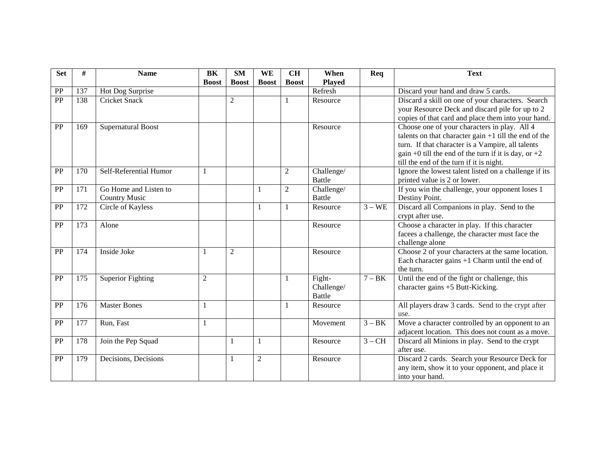| <b>Set</b> | #   | <b>Name</b>                                   | BK             | <b>SM</b>      | WE             | CH             | When                                  | Req      | <b>Text</b>                                                                                                                                                                                                                                                        |
|------------|-----|-----------------------------------------------|----------------|----------------|----------------|----------------|---------------------------------------|----------|--------------------------------------------------------------------------------------------------------------------------------------------------------------------------------------------------------------------------------------------------------------------|
|            |     |                                               | <b>Boost</b>   | <b>Boost</b>   | <b>Boost</b>   | <b>Boost</b>   | <b>Played</b>                         |          |                                                                                                                                                                                                                                                                    |
| PP         | 137 | Hot Dog Surprise                              |                |                |                |                | Refresh                               |          | Discard your hand and draw 5 cards.                                                                                                                                                                                                                                |
| PP         | 138 | <b>Cricket Snack</b>                          |                | $\overline{2}$ |                |                | Resource                              |          | Discard a skill on one of your characters. Search<br>your Resource Deck and discard pile for up to 2<br>copies of that card and place them into your hand.                                                                                                         |
| PP         | 169 | <b>Supernatural Boost</b>                     |                |                |                |                | Resource                              |          | Choose one of your characters in play. All 4<br>talents on that character gain $+1$ till the end of the<br>turn. If that character is a Vampire, all talents<br>gain +0 till the end of the turn if it is day, or $+2$<br>till the end of the turn if it is night. |
| PP         | 170 | Self-Referential Humor                        | $\mathbf{1}$   |                |                | $\overline{2}$ | Challenge/<br><b>Battle</b>           |          | Ignore the lowest talent listed on a challenge if its<br>printed value is 2 or lower.                                                                                                                                                                              |
| PP         | 171 | Go Home and Listen to<br><b>Country Music</b> |                |                | -1             | $\overline{2}$ | Challenge/<br><b>Battle</b>           |          | If you win the challenge, your opponent loses 1<br>Destiny Point.                                                                                                                                                                                                  |
| PP         | 172 | Circle of Kayless                             |                |                | -1             |                | Resource                              | $3 - WE$ | Discard all Companions in play. Send to the<br>crypt after use.                                                                                                                                                                                                    |
| PP         | 173 | Alone                                         |                |                |                |                | Resource                              |          | Choose a character in play. If this character<br>facees a challenge, the character must face the<br>challenge alone                                                                                                                                                |
| PP         | 174 | <b>Inside Joke</b>                            | 1              | $\mathfrak{2}$ |                |                | Resource                              |          | Choose 2 of your characters at the same location.<br>Each character gains $+1$ Charm until the end of<br>the turn.                                                                                                                                                 |
| PP         | 175 | Superior Fighting                             | $\overline{2}$ |                |                |                | Fight-<br>Challenge/<br><b>Battle</b> | $7 - BK$ | Until the end of the fight or challenge, this<br>character gains +5 Butt-Kicking.                                                                                                                                                                                  |
| PP         | 176 | <b>Master Bones</b>                           | $\mathbf{1}$   |                |                |                | Resource                              |          | All players draw 3 cards. Send to the crypt after<br>use.                                                                                                                                                                                                          |
| PP         | 177 | Run, Fast                                     | 1              |                |                |                | Movement                              | $3 - BK$ | Move a character controlled by an opponent to an<br>adjacent location. This does not count as a move.                                                                                                                                                              |
| PP         | 178 | Join the Pep Squad                            |                | 1              | -1             |                | Resource                              | $3 - CH$ | Discard all Minions in play. Send to the crypt<br>after use.                                                                                                                                                                                                       |
| PP         | 179 | Decisions, Decisions                          |                | 1              | $\overline{2}$ |                | Resource                              |          | Discard 2 cards. Search your Resource Deck for<br>any item, show it to your opponent, and place it<br>into your hand.                                                                                                                                              |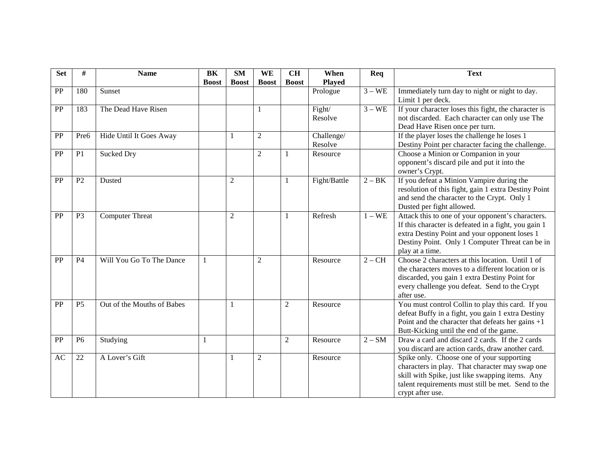| <b>Set</b> | #              | <b>Name</b>                | <b>BK</b>    | <b>SM</b>      | WE             | <b>CH</b>      | When          | Req      | <b>Text</b>                                                                                         |
|------------|----------------|----------------------------|--------------|----------------|----------------|----------------|---------------|----------|-----------------------------------------------------------------------------------------------------|
|            |                |                            | <b>Boost</b> | <b>Boost</b>   | <b>Boost</b>   | <b>Boost</b>   | <b>Played</b> |          |                                                                                                     |
| PP         | 180            | Sunset                     |              |                |                |                | Prologue      | $3 - WE$ | Immediately turn day to night or night to day.                                                      |
|            |                |                            |              |                |                |                |               |          | Limit 1 per deck.                                                                                   |
| PP         | 183            | The Dead Have Risen        |              |                | $\mathbf{1}$   |                | Fight/        | $3 - WE$ | If your character loses this fight, the character is                                                |
|            |                |                            |              |                |                |                | Resolve       |          | not discarded. Each character can only use The                                                      |
|            |                |                            |              |                |                |                |               |          | Dead Have Risen once per turn.                                                                      |
| PP         | Pre6           | Hide Until It Goes Away    |              | 1              | $\mathfrak{2}$ |                | Challenge/    |          | If the player loses the challenge he loses 1                                                        |
|            |                |                            |              |                |                |                | Resolve       |          | Destiny Point per character facing the challenge.                                                   |
| PP         | P1             | Sucked Dry                 |              |                | $\overline{2}$ |                | Resource      |          | Choose a Minion or Companion in your                                                                |
|            |                |                            |              |                |                |                |               |          | opponent's discard pile and put it into the                                                         |
|            |                |                            |              |                |                |                |               |          | owner's Crypt.                                                                                      |
| PP         | P2             | Dusted                     |              | $\overline{2}$ |                |                | Fight/Battle  | $2 - BK$ | If you defeat a Minion Vampire during the                                                           |
|            |                |                            |              |                |                |                |               |          | resolution of this fight, gain 1 extra Destiny Point<br>and send the character to the Crypt. Only 1 |
|            |                |                            |              |                |                |                |               |          | Dusted per fight allowed.                                                                           |
| PP         | P <sub>3</sub> | <b>Computer Threat</b>     |              | 2              |                | 1              | Refresh       | $1 - WE$ | Attack this to one of your opponent's characters.                                                   |
|            |                |                            |              |                |                |                |               |          | If this character is defeated in a fight, you gain 1                                                |
|            |                |                            |              |                |                |                |               |          | extra Destiny Point and your opponent loses 1                                                       |
|            |                |                            |              |                |                |                |               |          | Destiny Point. Only 1 Computer Threat can be in                                                     |
|            |                |                            |              |                |                |                |               |          | play at a time.                                                                                     |
| PP         | <b>P4</b>      | Will You Go To The Dance   | 1            |                | $\overline{2}$ |                | Resource      | $2 - CH$ | Choose 2 characters at this location. Until 1 of                                                    |
|            |                |                            |              |                |                |                |               |          | the characters moves to a different location or is                                                  |
|            |                |                            |              |                |                |                |               |          | discarded, you gain 1 extra Destiny Point for                                                       |
|            |                |                            |              |                |                |                |               |          | every challenge you defeat. Send to the Crypt                                                       |
|            |                |                            |              |                |                |                |               |          | after use.                                                                                          |
| PP         | P <sub>5</sub> | Out of the Mouths of Babes |              | 1              |                | $\overline{2}$ | Resource      |          | You must control Collin to play this card. If you                                                   |
|            |                |                            |              |                |                |                |               |          | defeat Buffy in a fight, you gain 1 extra Destiny                                                   |
|            |                |                            |              |                |                |                |               |          | Point and the character that defeats her gains $+1$                                                 |
|            |                |                            |              |                |                |                |               |          | Butt-Kicking until the end of the game.                                                             |
| PP         | P <sub>6</sub> | Studying                   | $\mathbf{1}$ |                |                | $\overline{2}$ | Resource      | $2-SM$   | Draw a card and discard 2 cards. If the 2 cards                                                     |
|            |                |                            |              |                |                |                |               |          | you discard are action cards, draw another card.                                                    |
| AC         | 22             | A Lover's Gift             |              | 1              | $\overline{2}$ |                | Resource      |          | Spike only. Choose one of your supporting                                                           |
|            |                |                            |              |                |                |                |               |          | characters in play. That character may swap one                                                     |
|            |                |                            |              |                |                |                |               |          | skill with Spike, just like swapping items. Any                                                     |
|            |                |                            |              |                |                |                |               |          | talent requirements must still be met. Send to the                                                  |
|            |                |                            |              |                |                |                |               |          | crypt after use.                                                                                    |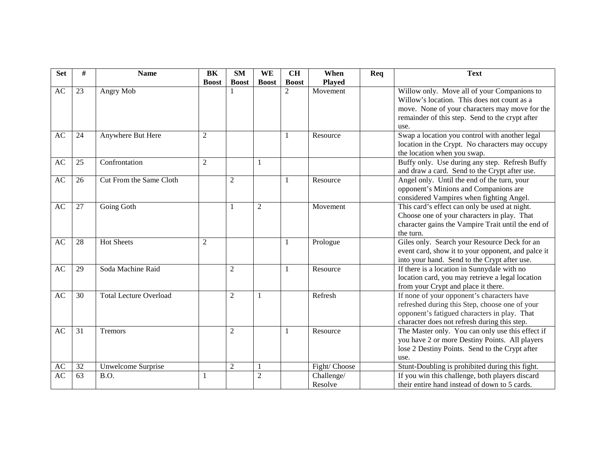| <b>Set</b> | #               | <b>Name</b>                   | BK             | <b>SM</b>      | WE             | CH           | When          | Req | <b>Text</b>                                        |
|------------|-----------------|-------------------------------|----------------|----------------|----------------|--------------|---------------|-----|----------------------------------------------------|
|            |                 |                               | <b>Boost</b>   | <b>Boost</b>   | <b>Boost</b>   | <b>Boost</b> | <b>Played</b> |     |                                                    |
| AC         | 23              | Angry Mob                     |                |                |                | 2            | Movement      |     | Willow only. Move all of your Companions to        |
|            |                 |                               |                |                |                |              |               |     | Willow's location. This does not count as a        |
|            |                 |                               |                |                |                |              |               |     | move. None of your characters may move for the     |
|            |                 |                               |                |                |                |              |               |     | remainder of this step. Send to the crypt after    |
|            |                 |                               |                |                |                |              |               |     | use.                                               |
| AC         | 24              | Anywhere But Here             | $\overline{2}$ |                |                |              | Resource      |     | Swap a location you control with another legal     |
|            |                 |                               |                |                |                |              |               |     | location in the Crypt. No characters may occupy    |
|            |                 |                               |                |                |                |              |               |     | the location when you swap.                        |
| <b>AC</b>  | 25              | Confrontation                 | $\overline{2}$ |                |                |              |               |     | Buffy only. Use during any step. Refresh Buffy     |
|            |                 |                               |                |                |                |              |               |     | and draw a card. Send to the Crypt after use.      |
| AC         | 26              | Cut From the Same Cloth       |                | $\overline{2}$ |                |              | Resource      |     | Angel only. Until the end of the turn, your        |
|            |                 |                               |                |                |                |              |               |     | opponent's Minions and Companions are              |
|            |                 |                               |                |                |                |              |               |     | considered Vampires when fighting Angel.           |
| AC         | 27              | Going Goth                    |                | 1              | $\overline{2}$ |              | Movement      |     | This card's effect can only be used at night.      |
|            |                 |                               |                |                |                |              |               |     | Choose one of your characters in play. That        |
|            |                 |                               |                |                |                |              |               |     | character gains the Vampire Trait until the end of |
|            |                 |                               |                |                |                |              |               |     | the turn.                                          |
| AC         | 28              | <b>Hot Sheets</b>             | $\overline{2}$ |                |                | -1           | Prologue      |     | Giles only. Search your Resource Deck for an       |
|            |                 |                               |                |                |                |              |               |     | event card, show it to your opponent, and palce it |
|            |                 |                               |                |                |                |              |               |     | into your hand. Send to the Crypt after use.       |
| AC         | 29              | Soda Machine Raid             |                | $\overline{2}$ |                |              | Resource      |     | If there is a location in Sunnydale with no        |
|            |                 |                               |                |                |                |              |               |     | location card, you may retrieve a legal location   |
|            |                 |                               |                |                |                |              |               |     | from your Crypt and place it there.                |
| AC         | 30              | <b>Total Lecture Overload</b> |                | $\overline{2}$ |                |              | Refresh       |     | If none of your opponent's characters have         |
|            |                 |                               |                |                |                |              |               |     | refreshed during this Step, choose one of your     |
|            |                 |                               |                |                |                |              |               |     | opponent's fatigued characters in play. That       |
|            |                 |                               |                |                |                |              |               |     | character does not refresh during this step.       |
| AC         | $\overline{31}$ | <b>Tremors</b>                |                | $\mathfrak{2}$ |                |              | Resource      |     | The Master only. You can only use this effect if   |
|            |                 |                               |                |                |                |              |               |     | you have 2 or more Destiny Points. All players     |
|            |                 |                               |                |                |                |              |               |     | lose 2 Destiny Points. Send to the Crypt after     |
|            |                 |                               |                |                |                |              |               |     | use.                                               |
| AC         | 32              | Unwelcome Surprise            |                | $\overline{2}$ |                |              | Fight/Choose  |     | Stunt-Doubling is prohibited during this fight.    |
| AC         | 63              | B.O.                          | 1              |                | $\overline{2}$ |              | Challenge/    |     | If you win this challenge, both players discard    |
|            |                 |                               |                |                |                |              | Resolve       |     | their entire hand instead of down to 5 cards.      |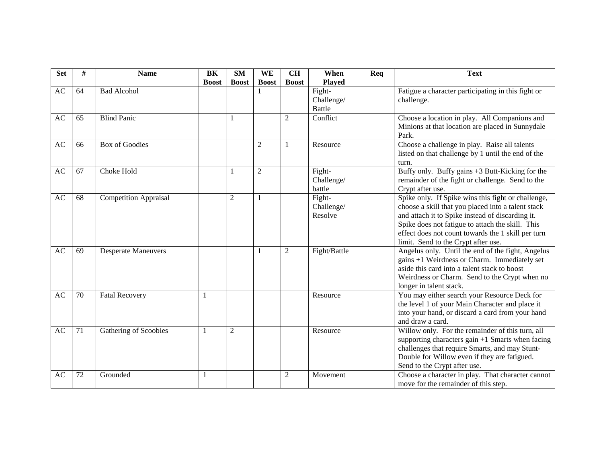| <b>Set</b> | #  | <b>Name</b>                  | BK           | <b>SM</b>      | WE             | <b>CH</b>      | When          | Req | <b>Text</b>                                                                                                               |
|------------|----|------------------------------|--------------|----------------|----------------|----------------|---------------|-----|---------------------------------------------------------------------------------------------------------------------------|
|            |    |                              | <b>Boost</b> | <b>Boost</b>   | <b>Boost</b>   | <b>Boost</b>   | <b>Played</b> |     |                                                                                                                           |
| AC         | 64 | <b>Bad Alcohol</b>           |              |                |                |                | Fight-        |     | Fatigue a character participating in this fight or                                                                        |
|            |    |                              |              |                |                |                | Challenge/    |     | challenge.                                                                                                                |
|            |    |                              |              |                |                |                | <b>Battle</b> |     |                                                                                                                           |
| AC         | 65 | <b>Blind Panic</b>           |              | 1              |                | 2              | Conflict      |     | Choose a location in play. All Companions and                                                                             |
|            |    |                              |              |                |                |                |               |     | Minions at that location are placed in Sunnydale                                                                          |
|            |    |                              |              |                |                |                |               |     | Park.                                                                                                                     |
| AC         | 66 | <b>Box of Goodies</b>        |              |                | $\overline{c}$ |                | Resource      |     | Choose a challenge in play. Raise all talents                                                                             |
|            |    |                              |              |                |                |                |               |     | listed on that challenge by 1 until the end of the                                                                        |
|            |    |                              |              |                |                |                |               |     | turn.                                                                                                                     |
| AC         | 67 | Choke Hold                   |              | 1              | $\overline{c}$ |                | Fight-        |     | Buffy only. Buffy gains $+3$ Butt-Kicking for the                                                                         |
|            |    |                              |              |                |                |                | Challenge/    |     | remainder of the fight or challenge. Send to the                                                                          |
|            |    |                              |              |                |                |                | battle        |     | Crypt after use.                                                                                                          |
| AC         | 68 | <b>Competition Appraisal</b> |              | $\overline{2}$ |                |                | Fight-        |     | Spike only. If Spike wins this fight or challenge,                                                                        |
|            |    |                              |              |                |                |                | Challenge/    |     | choose a skill that you placed into a talent stack                                                                        |
|            |    |                              |              |                |                |                | Resolve       |     | and attach it to Spike instead of discarding it.                                                                          |
|            |    |                              |              |                |                |                |               |     | Spike does not fatigue to attach the skill. This                                                                          |
|            |    |                              |              |                |                |                |               |     | effect does not count towards the 1 skill per turn                                                                        |
|            |    |                              |              |                |                |                |               |     | limit. Send to the Crypt after use.                                                                                       |
| AC         | 69 | <b>Desperate Maneuvers</b>   |              |                |                | $\overline{2}$ | Fight/Battle  |     | Angelus only. Until the end of the fight, Angelus                                                                         |
|            |    |                              |              |                |                |                |               |     | gains +1 Weirdness or Charm. Immediately set                                                                              |
|            |    |                              |              |                |                |                |               |     | aside this card into a talent stack to boost                                                                              |
|            |    |                              |              |                |                |                |               |     | Weirdness or Charm. Send to the Crypt when no                                                                             |
|            |    |                              |              |                |                |                |               |     | longer in talent stack.                                                                                                   |
| AC         | 70 | <b>Fatal Recovery</b>        |              |                |                |                | Resource      |     | You may either search your Resource Deck for                                                                              |
|            |    |                              |              |                |                |                |               |     | the level 1 of your Main Character and place it                                                                           |
|            |    |                              |              |                |                |                |               |     | into your hand, or discard a card from your hand<br>and draw a card.                                                      |
| AC         | 71 |                              |              |                |                |                |               |     | Willow only. For the remainder of this turn, all                                                                          |
|            |    | Gathering of Scoobies        | -1           | $\overline{2}$ |                |                | Resource      |     |                                                                                                                           |
|            |    |                              |              |                |                |                |               |     | supporting characters gain $+1$ Smarts when facing                                                                        |
|            |    |                              |              |                |                |                |               |     | challenges that require Smarts, and may Stunt-<br>Double for Willow even if they are fatigued.                            |
|            |    |                              |              |                |                |                |               |     |                                                                                                                           |
|            |    |                              |              |                |                |                |               |     |                                                                                                                           |
|            |    |                              |              |                |                |                |               |     |                                                                                                                           |
| AC         | 72 | Grounded                     | $\mathbf{1}$ |                |                | $\mathfrak{2}$ | Movement      |     | Send to the Crypt after use.<br>Choose a character in play. That character cannot<br>move for the remainder of this step. |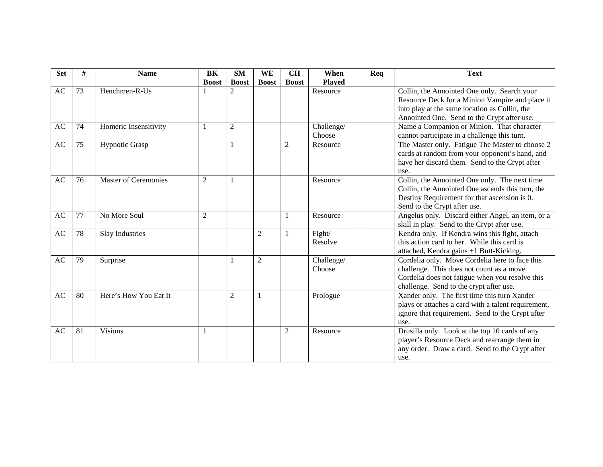| <b>Set</b> | #  | <b>Name</b>                 | BK           | <b>SM</b>      | WE             | <b>CH</b>      | When          | Req | <b>Text</b>                                         |
|------------|----|-----------------------------|--------------|----------------|----------------|----------------|---------------|-----|-----------------------------------------------------|
|            |    |                             | <b>Boost</b> | <b>Boost</b>   | <b>Boost</b>   | <b>Boost</b>   | <b>Played</b> |     |                                                     |
| AC         | 73 | Henchmen-R-Us               |              | 2              |                |                | Resource      |     | Collin, the Annointed One only. Search your         |
|            |    |                             |              |                |                |                |               |     | Resource Deck for a Minion Vampire and place it     |
|            |    |                             |              |                |                |                |               |     | into play at the same location as Collin, the       |
|            |    |                             |              |                |                |                |               |     | Annointed One. Send to the Crypt after use.         |
| AC         | 74 | Homeric Insensitivity       | $\mathbf{1}$ | $\mathfrak{2}$ |                |                | Challenge/    |     | Name a Companion or Minion. That character          |
|            |    |                             |              |                |                |                | Choose        |     | cannot participate in a challenge this turn.        |
| AC         | 75 | Hypnotic Grasp              |              | 1              |                | 2              | Resource      |     | The Master only. Fatigue The Master to choose 2     |
|            |    |                             |              |                |                |                |               |     | cards at random from your opponent's hand, and      |
|            |    |                             |              |                |                |                |               |     | have her discard them. Send to the Crypt after      |
|            |    |                             |              |                |                |                |               |     | use.                                                |
| AC         | 76 | <b>Master of Ceremonies</b> | 2            | $\mathbf{1}$   |                |                | Resource      |     | Collin, the Annointed One only. The next time       |
|            |    |                             |              |                |                |                |               |     | Collin, the Annointed One ascends this turn, the    |
|            |    |                             |              |                |                |                |               |     | Destiny Requirement for that ascension is 0.        |
|            |    |                             |              |                |                |                |               |     | Send to the Crypt after use.                        |
| AC         | 77 | No More Soul                | 2            |                |                |                | Resource      |     | Angelus only. Discard either Angel, an item, or a   |
|            |    |                             |              |                |                |                |               |     | skill in play. Send to the Crypt after use.         |
| AC         | 78 | Slay Industries             |              |                | $\overline{2}$ |                | Fight/        |     | Kendra only. If Kendra wins this fight, attach      |
|            |    |                             |              |                |                |                | Resolve       |     | this action card to her. While this card is         |
|            |    |                             |              |                |                |                |               |     | attached, Kendra gains +1 Butt-Kicking.             |
| AC         | 79 | Surprise                    |              | 1              | $\overline{2}$ |                | Challenge/    |     | Cordelia only. Move Cordelia here to face this      |
|            |    |                             |              |                |                |                | Choose        |     | challenge. This does not count as a move.           |
|            |    |                             |              |                |                |                |               |     | Cordelia does not fatigue when you resolve this     |
|            |    |                             |              |                |                |                |               |     | challenge. Send to the crypt after use.             |
| AC         | 80 | Here's How You Eat It       |              | $\overline{2}$ | -1             |                | Prologue      |     | Xander only. The first time this turn Xander        |
|            |    |                             |              |                |                |                |               |     | plays or attaches a card with a talent requirement, |
|            |    |                             |              |                |                |                |               |     | ignore that requirement. Send to the Crypt after    |
| AC         | 81 | <b>Visions</b>              |              |                |                |                |               |     | use.                                                |
|            |    |                             | -1           |                |                | $\overline{c}$ | Resource      |     | Drusilla only. Look at the top 10 cards of any      |
|            |    |                             |              |                |                |                |               |     | player's Resource Deck and rearrange them in        |
|            |    |                             |              |                |                |                |               |     | any order. Draw a card. Send to the Crypt after     |
|            |    |                             |              |                |                |                |               |     | use.                                                |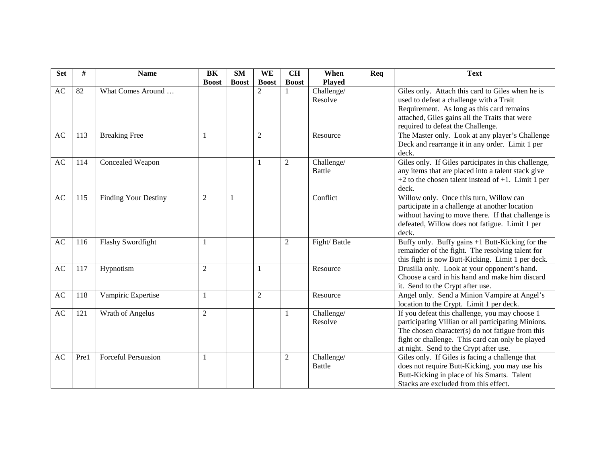| <b>Set</b> | #    | <b>Name</b>                 | <b>BK</b>      | <b>SM</b>    | <b>WE</b>      | <b>CH</b>      | When          | Req | <b>Text</b>                                                                                           |
|------------|------|-----------------------------|----------------|--------------|----------------|----------------|---------------|-----|-------------------------------------------------------------------------------------------------------|
|            |      |                             | <b>Boost</b>   | <b>Boost</b> | <b>Boost</b>   | <b>Boost</b>   | <b>Played</b> |     |                                                                                                       |
| AC         | 82   | What Comes Around           |                |              | $\overline{2}$ |                | Challenge/    |     | Giles only. Attach this card to Giles when he is                                                      |
|            |      |                             |                |              |                |                | Resolve       |     | used to defeat a challenge with a Trait                                                               |
|            |      |                             |                |              |                |                |               |     | Requirement. As long as this card remains                                                             |
|            |      |                             |                |              |                |                |               |     | attached, Giles gains all the Traits that were                                                        |
|            |      |                             |                |              |                |                |               |     | required to defeat the Challenge.                                                                     |
| AC         | 113  | <b>Breaking Free</b>        | $\overline{1}$ |              | $\overline{c}$ |                | Resource      |     | The Master only. Look at any player's Challenge                                                       |
|            |      |                             |                |              |                |                |               |     | Deck and rearrange it in any order. Limit 1 per                                                       |
|            |      |                             |                |              |                |                |               |     | deck.                                                                                                 |
| AC         | 114  | Concealed Weapon            |                |              | 1              | $\overline{c}$ | Challenge/    |     | Giles only. If Giles participates in this challenge,                                                  |
|            |      |                             |                |              |                |                | <b>Battle</b> |     | any items that are placed into a talent stack give                                                    |
|            |      |                             |                |              |                |                |               |     | $+2$ to the chosen talent instead of $+1$ . Limit 1 per                                               |
|            |      |                             |                |              |                |                |               |     | deck.                                                                                                 |
| AC         | 115  | <b>Finding Your Destiny</b> | $\overline{2}$ | -1           |                |                | Conflict      |     | Willow only. Once this turn, Willow can                                                               |
|            |      |                             |                |              |                |                |               |     | participate in a challenge at another location                                                        |
|            |      |                             |                |              |                |                |               |     | without having to move there. If that challenge is                                                    |
|            |      |                             |                |              |                |                |               |     | defeated, Willow does not fatigue. Limit 1 per                                                        |
|            |      |                             |                |              |                |                |               |     | deck.                                                                                                 |
| AC         | 116  | Flashy Swordfight           | $\overline{1}$ |              |                | 2              | Fight/Battle  |     | Buffy only. Buffy gains +1 Butt-Kicking for the                                                       |
|            |      |                             |                |              |                |                |               |     | remainder of the fight. The resolving talent for<br>this fight is now Butt-Kicking. Limit 1 per deck. |
| AC         | 117  | Hypnotism                   | $\overline{2}$ |              | 1              |                | Resource      |     | Drusilla only. Look at your opponent's hand.                                                          |
|            |      |                             |                |              |                |                |               |     | Choose a card in his hand and make him discard                                                        |
|            |      |                             |                |              |                |                |               |     | it. Send to the Crypt after use.                                                                      |
| AC         | 118  | Vampiric Expertise          | $\mathbf{1}$   |              | $\mathfrak{2}$ |                | Resource      |     | Angel only. Send a Minion Vampire at Angel's                                                          |
|            |      |                             |                |              |                |                |               |     | location to the Crypt. Limit 1 per deck.                                                              |
| AC         | 121  | Wrath of Angelus            | $\overline{2}$ |              |                | 1              | Challenge/    |     | If you defeat this challenge, you may choose 1                                                        |
|            |      |                             |                |              |                |                | Resolve       |     | participating Villian or all participating Minions.                                                   |
|            |      |                             |                |              |                |                |               |     | The chosen character(s) do not fatigue from this                                                      |
|            |      |                             |                |              |                |                |               |     | fight or challenge. This card can only be played                                                      |
|            |      |                             |                |              |                |                |               |     | at night. Send to the Crypt after use.                                                                |
| AC         | Pre1 | <b>Forceful Persuasion</b>  | $\overline{1}$ |              |                | $\overline{2}$ | Challenge/    |     | Giles only. If Giles is facing a challenge that                                                       |
|            |      |                             |                |              |                |                | <b>Battle</b> |     | does not require Butt-Kicking, you may use his                                                        |
|            |      |                             |                |              |                |                |               |     | Butt-Kicking in place of his Smarts. Talent                                                           |
|            |      |                             |                |              |                |                |               |     | Stacks are excluded from this effect.                                                                 |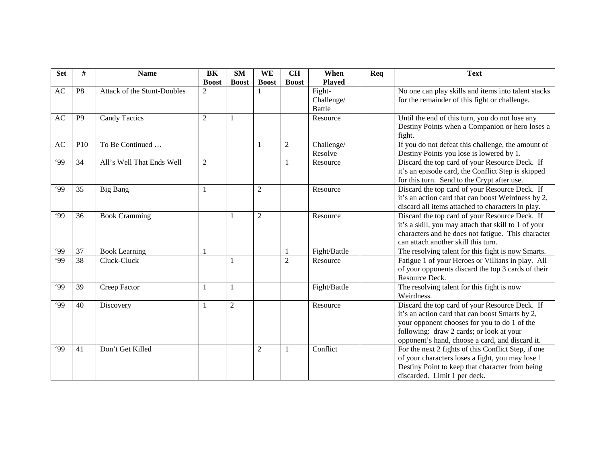| <b>Set</b> | #               | <b>Name</b>                 | BK             | <b>SM</b>      | WE             | <b>CH</b>      | When          | Req | <b>Text</b>                                          |
|------------|-----------------|-----------------------------|----------------|----------------|----------------|----------------|---------------|-----|------------------------------------------------------|
|            |                 |                             | <b>Boost</b>   | <b>Boost</b>   | <b>Boost</b>   | <b>Boost</b>   | <b>Played</b> |     |                                                      |
| AC         | P <sub>8</sub>  | Attack of the Stunt-Doubles | $\overline{2}$ |                |                |                | Fight-        |     | No one can play skills and items into talent stacks  |
|            |                 |                             |                |                |                |                | Challenge/    |     | for the remainder of this fight or challenge.        |
|            |                 |                             |                |                |                |                | <b>Battle</b> |     |                                                      |
| AC         | P <sub>9</sub>  | <b>Candy Tactics</b>        | $\overline{2}$ | $\mathbf{1}$   |                |                | Resource      |     | Until the end of this turn, you do not lose any      |
|            |                 |                             |                |                |                |                |               |     | Destiny Points when a Companion or hero loses a      |
|            |                 |                             |                |                |                |                |               |     | fight.                                               |
| AC         | P <sub>10</sub> | To Be Continued             |                |                | 1              | $\overline{2}$ | Challenge/    |     | If you do not defeat this challenge, the amount of   |
|            |                 |                             |                |                |                |                | Resolve       |     | Destiny Points you lose is lowered by 1.             |
| .99        | 34              | All's Well That Ends Well   | $\overline{2}$ |                |                |                | Resource      |     | Discard the top card of your Resource Deck. If       |
|            |                 |                             |                |                |                |                |               |     | it's an episode card, the Conflict Step is skipped   |
|            |                 |                             |                |                |                |                |               |     | for this turn. Send to the Crypt after use.          |
| .99        | 35              | <b>Big Bang</b>             | $\mathbf{1}$   |                | $\mathfrak 2$  |                | Resource      |     | Discard the top card of your Resource Deck. If       |
|            |                 |                             |                |                |                |                |               |     | it's an action card that can boost Weirdness by 2,   |
|            |                 |                             |                |                |                |                |               |     | discard all items attached to characters in play.    |
| .99        | 36              | <b>Book Cramming</b>        |                | 1              | $\overline{c}$ |                | Resource      |     | Discard the top card of your Resource Deck. If       |
|            |                 |                             |                |                |                |                |               |     | it's a skill, you may attach that skill to 1 of your |
|            |                 |                             |                |                |                |                |               |     | characters and he does not fatigue. This character   |
|            |                 |                             |                |                |                |                |               |     | can attach another skill this turn.                  |
| .99        | 37              | <b>Book Learning</b>        | $\mathbf{1}$   |                |                |                | Fight/Battle  |     | The resolving talent for this fight is now Smarts.   |
| .99        | 38              | Cluck-Cluck                 |                | 1              |                | $\mathfrak{2}$ | Resource      |     | Fatigue 1 of your Heroes or Villians in play. All    |
|            |                 |                             |                |                |                |                |               |     | of your opponents discard the top 3 cards of their   |
|            |                 |                             |                |                |                |                |               |     | Resource Deck.                                       |
| 99         | 39              | Creep Factor                | $\mathbf{1}$   | $\mathbf{1}$   |                |                | Fight/Battle  |     | The resolving talent for this fight is now           |
|            |                 |                             |                |                |                |                |               |     | Weirdness.                                           |
| .99        | 40              | Discovery                   | $\mathbf{1}$   | $\overline{2}$ |                |                | Resource      |     | Discard the top card of your Resource Deck. If       |
|            |                 |                             |                |                |                |                |               |     | it's an action card that can boost Smarts by 2,      |
|            |                 |                             |                |                |                |                |               |     | your opponent chooses for you to do 1 of the         |
|            |                 |                             |                |                |                |                |               |     | following: draw 2 cards; or look at your             |
|            |                 |                             |                |                |                |                |               |     | opponent's hand, choose a card, and discard it.      |
| 99         | 41              | Don't Get Killed            |                |                | $\overline{2}$ |                | Conflict      |     | For the next 2 fights of this Conflict Step, if one  |
|            |                 |                             |                |                |                |                |               |     | of your characters loses a fight, you may lose 1     |
|            |                 |                             |                |                |                |                |               |     | Destiny Point to keep that character from being      |
|            |                 |                             |                |                |                |                |               |     | discarded. Limit 1 per deck.                         |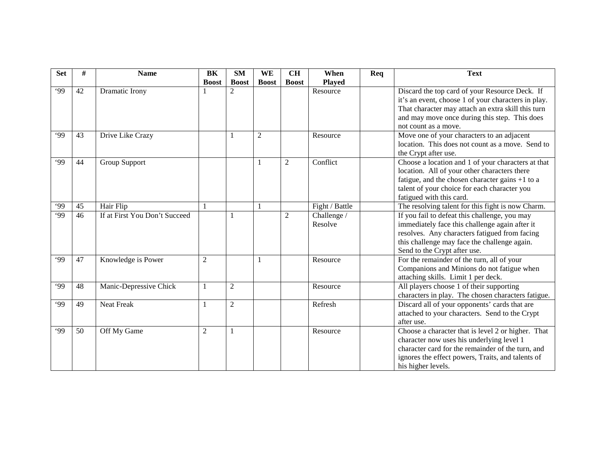| <b>Set</b> | #  | <b>Name</b>                   | BK             | <b>SM</b>      | WE             | <b>CH</b>      | When           | Req | <b>Text</b>                                         |
|------------|----|-------------------------------|----------------|----------------|----------------|----------------|----------------|-----|-----------------------------------------------------|
|            |    |                               | <b>Boost</b>   | <b>Boost</b>   | <b>Boost</b>   | <b>Boost</b>   | <b>Played</b>  |     |                                                     |
| .99        | 42 | Dramatic Irony                |                | $\overline{2}$ |                |                | Resource       |     | Discard the top card of your Resource Deck. If      |
|            |    |                               |                |                |                |                |                |     | it's an event, choose 1 of your characters in play. |
|            |    |                               |                |                |                |                |                |     | That character may attach an extra skill this turn  |
|            |    |                               |                |                |                |                |                |     | and may move once during this step. This does       |
|            |    |                               |                |                |                |                |                |     | not count as a move.                                |
| .99        | 43 | Drive Like Crazy              |                | 1              | $\overline{2}$ |                | Resource       |     | Move one of your characters to an adjacent          |
|            |    |                               |                |                |                |                |                |     | location. This does not count as a move. Send to    |
|            |    |                               |                |                |                |                |                |     | the Crypt after use.                                |
| 99'        | 44 | Group Support                 |                |                |                | $\overline{c}$ | Conflict       |     | Choose a location and 1 of your characters at that  |
|            |    |                               |                |                |                |                |                |     | location. All of your other characters there        |
|            |    |                               |                |                |                |                |                |     | fatigue, and the chosen character gains +1 to a     |
|            |    |                               |                |                |                |                |                |     | talent of your choice for each character you        |
|            |    |                               |                |                |                |                |                |     | fatigued with this card.                            |
| .99        | 45 | Hair Flip                     | -1             |                |                |                | Fight / Battle |     | The resolving talent for this fight is now Charm.   |
| .99        | 46 | If at First You Don't Succeed |                | 1              |                | 2              | Challenge /    |     | If you fail to defeat this challenge, you may       |
|            |    |                               |                |                |                |                | Resolve        |     | immediately face this challenge again after it      |
|            |    |                               |                |                |                |                |                |     | resolves. Any characters fatigued from facing       |
|            |    |                               |                |                |                |                |                |     | this challenge may face the challenge again.        |
|            |    |                               |                |                |                |                |                |     | Send to the Crypt after use.                        |
| 99         | 47 | Knowledge is Power            | $\overline{2}$ |                |                |                | Resource       |     | For the remainder of the turn, all of your          |
|            |    |                               |                |                |                |                |                |     | Companions and Minions do not fatigue when          |
|            |    |                               |                |                |                |                |                |     | attaching skills. Limit 1 per deck.                 |
| .99        | 48 | Manic-Depressive Chick        | 1              | $\overline{2}$ |                |                | Resource       |     | All players choose 1 of their supporting            |
|            |    |                               |                |                |                |                |                |     | characters in play. The chosen characters fatigue.  |
| .99        | 49 | <b>Neat Freak</b>             | 1              | $\mathfrak{2}$ |                |                | Refresh        |     | Discard all of your opponents' cards that are       |
|            |    |                               |                |                |                |                |                |     | attached to your characters. Send to the Crypt      |
|            |    |                               |                |                |                |                |                |     | after use.                                          |
| .99        | 50 | Off My Game                   | $\mathfrak{2}$ | 1              |                |                | Resource       |     | Choose a character that is level 2 or higher. That  |
|            |    |                               |                |                |                |                |                |     | character now uses his underlying level 1           |
|            |    |                               |                |                |                |                |                |     | character card for the remainder of the turn, and   |
|            |    |                               |                |                |                |                |                |     | ignores the effect powers, Traits, and talents of   |
|            |    |                               |                |                |                |                |                |     | his higher levels.                                  |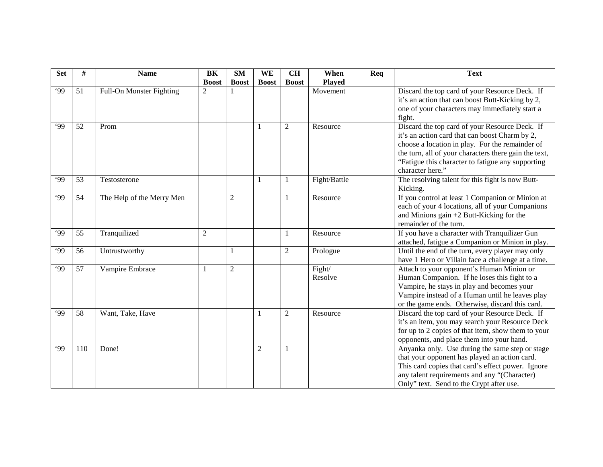| <b>Set</b> | #   | <b>Name</b>               | BK             | <b>SM</b>      | WE             | <b>CH</b>      | When              | Req | <b>Text</b>                                                                                                                                                                                                                                                                           |
|------------|-----|---------------------------|----------------|----------------|----------------|----------------|-------------------|-----|---------------------------------------------------------------------------------------------------------------------------------------------------------------------------------------------------------------------------------------------------------------------------------------|
|            |     |                           | <b>Boost</b>   | <b>Boost</b>   | <b>Boost</b>   | <b>Boost</b>   | <b>Played</b>     |     |                                                                                                                                                                                                                                                                                       |
| .99        | 51  | Full-On Monster Fighting  | $\overline{2}$ |                |                |                | Movement          |     | Discard the top card of your Resource Deck. If<br>it's an action that can boost Butt-Kicking by 2,<br>one of your characters may immediately start a                                                                                                                                  |
|            |     |                           |                |                |                |                |                   |     | fight.                                                                                                                                                                                                                                                                                |
| 99         | 52  | Prom                      |                |                | 1              | $\overline{2}$ | Resource          |     | Discard the top card of your Resource Deck. If<br>it's an action card that can boost Charm by 2,<br>choose a location in play. For the remainder of<br>the turn, all of your characters there gain the text,<br>"Fatigue this character to fatigue any supporting<br>character here." |
| .99        | 53  | Testosterone              |                |                | 1              |                | Fight/Battle      |     | The resolving talent for this fight is now Butt-<br>Kicking.                                                                                                                                                                                                                          |
| .99        | 54  | The Help of the Merry Men |                | $\mathfrak{2}$ |                |                | Resource          |     | If you control at least 1 Companion or Minion at<br>each of your 4 locations, all of your Companions<br>and Minions gain +2 Butt-Kicking for the<br>remainder of the turn.                                                                                                            |
| .99        | 55  | Tranquilized              | 2              |                |                |                | Resource          |     | If you have a character with Tranquilizer Gun<br>attached, fatigue a Companion or Minion in play.                                                                                                                                                                                     |
| .99        | 56  | Untrustworthy             |                | 1              |                | $\overline{2}$ | Prologue          |     | Until the end of the turn, every player may only<br>have 1 Hero or Villain face a challenge at a time.                                                                                                                                                                                |
| .99        | 57  | Vampire Embrace           | $\mathbf{1}$   | $\overline{2}$ |                |                | Fight/<br>Resolve |     | Attach to your opponent's Human Minion or<br>Human Companion. If he loses this fight to a<br>Vampire, he stays in play and becomes your<br>Vampire instead of a Human until he leaves play<br>or the game ends. Otherwise, discard this card.                                         |
| 99         | 58  | Want, Take, Have          |                |                | 1              | $\overline{2}$ | Resource          |     | Discard the top card of your Resource Deck. If<br>it's an item, you may search your Resource Deck<br>for up to 2 copies of that item, show them to your<br>opponents, and place them into your hand.                                                                                  |
| .99        | 110 | Done!                     |                |                | $\overline{c}$ | 1              |                   |     | Anyanka only. Use during the same step or stage<br>that your opponent has played an action card.<br>This card copies that card's effect power. Ignore<br>any talent requirements and any "(Character)<br>Only" text. Send to the Crypt after use.                                     |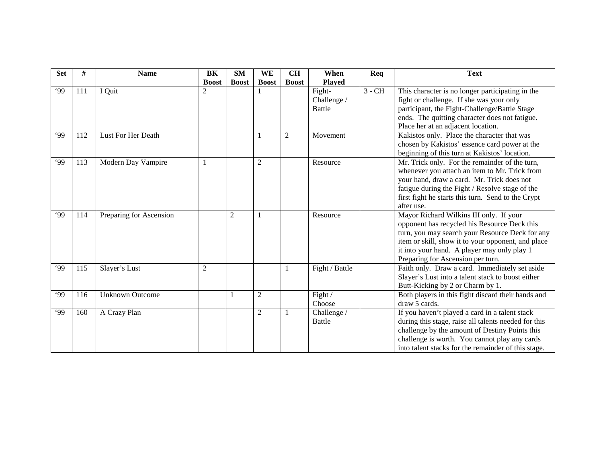| <b>Set</b> | #   | <b>Name</b>             | BK             | <b>SM</b>      | WE             | <b>CH</b>    | When                                   | Req      | <b>Text</b>                                                                                                                                                                                                                                                                          |
|------------|-----|-------------------------|----------------|----------------|----------------|--------------|----------------------------------------|----------|--------------------------------------------------------------------------------------------------------------------------------------------------------------------------------------------------------------------------------------------------------------------------------------|
|            |     |                         | <b>Boost</b>   | <b>Boost</b>   | <b>Boost</b>   | <b>Boost</b> | <b>Played</b>                          |          |                                                                                                                                                                                                                                                                                      |
| .99        | 111 | I Quit                  | $\overline{2}$ |                |                |              | Fight-<br>Challenge /<br><b>Battle</b> | $3 - CH$ | This character is no longer participating in the<br>fight or challenge. If she was your only<br>participant, the Fight-Challenge/Battle Stage<br>ends. The quitting character does not fatigue.                                                                                      |
| .99        | 112 | Lust For Her Death      |                |                |                | 2            | Movement                               |          | Place her at an adjacent location.<br>Kakistos only. Place the character that was<br>chosen by Kakistos' essence card power at the<br>beginning of this turn at Kakistos' location.                                                                                                  |
| .99        | 113 | Modern Day Vampire      |                |                | $\overline{2}$ |              | Resource                               |          | Mr. Trick only. For the remainder of the turn,<br>whenever you attach an item to Mr. Trick from<br>your hand, draw a card. Mr. Trick does not<br>fatigue during the Fight / Resolve stage of the<br>first fight he starts this turn. Send to the Crypt<br>after use.                 |
| .99        | 114 | Preparing for Ascension |                | $\overline{2}$ |                |              | Resource                               |          | Mayor Richard Wilkins III only. If your<br>opponent has recycled his Resource Deck this<br>turn, you may search your Resource Deck for any<br>item or skill, show it to your opponent, and place<br>it into your hand. A player may only play 1<br>Preparing for Ascension per turn. |
| .99        | 115 | Slayer's Lust           | $\overline{2}$ |                |                |              | Fight / Battle                         |          | Faith only. Draw a card. Immediately set aside<br>Slayer's Lust into a talent stack to boost either<br>Butt-Kicking by 2 or Charm by 1.                                                                                                                                              |
| .99        | 116 | <b>Unknown Outcome</b>  |                | 1              | $\overline{c}$ |              | Fight /<br>Choose                      |          | Both players in this fight discard their hands and<br>draw 5 cards.                                                                                                                                                                                                                  |
| .99        | 160 | A Crazy Plan            |                |                | $\overline{c}$ |              | Challenge /<br><b>Battle</b>           |          | If you haven't played a card in a talent stack<br>during this stage, raise all talents needed for this<br>challenge by the amount of Destiny Points this<br>challenge is worth. You cannot play any cards<br>into talent stacks for the remainder of this stage.                     |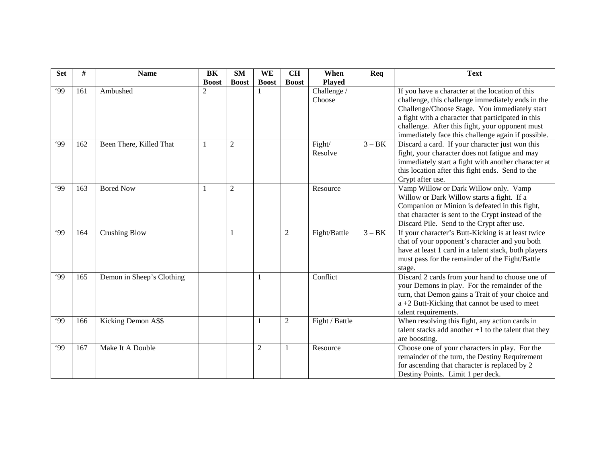| <b>Set</b> | #   | <b>Name</b>               | BK             | <b>SM</b>      | WE           | <b>CH</b>      | When           | Req      | <b>Text</b>                                            |
|------------|-----|---------------------------|----------------|----------------|--------------|----------------|----------------|----------|--------------------------------------------------------|
|            |     |                           | <b>Boost</b>   | <b>Boost</b>   | <b>Boost</b> | <b>Boost</b>   | <b>Played</b>  |          |                                                        |
| .99        | 161 | Ambushed                  | $\overline{2}$ |                |              |                | Challenge /    |          | If you have a character at the location of this        |
|            |     |                           |                |                |              |                | Choose         |          | challenge, this challenge immediately ends in the      |
|            |     |                           |                |                |              |                |                |          | Challenge/Choose Stage. You immediately start          |
|            |     |                           |                |                |              |                |                |          | a fight with a character that participated in this     |
|            |     |                           |                |                |              |                |                |          | challenge. After this fight, your opponent must        |
|            |     |                           |                |                |              |                |                |          | immediately face this challenge again if possible.     |
| .99        | 162 | Been There, Killed That   | -1             | 2              |              |                | Fight/         | $3 - BK$ | Discard a card. If your character just won this        |
|            |     |                           |                |                |              |                | Resolve        |          | fight, your character does not fatigue and may         |
|            |     |                           |                |                |              |                |                |          | immediately start a fight with another character at    |
|            |     |                           |                |                |              |                |                |          | this location after this fight ends. Send to the       |
|            |     |                           |                |                |              |                |                |          | Crypt after use.                                       |
| 99         | 163 | <b>Bored Now</b>          | $\mathbf{1}$   | $\overline{2}$ |              |                | Resource       |          | Vamp Willow or Dark Willow only. Vamp                  |
|            |     |                           |                |                |              |                |                |          | Willow or Dark Willow starts a fight. If a             |
|            |     |                           |                |                |              |                |                |          | Companion or Minion is defeated in this fight,         |
|            |     |                           |                |                |              |                |                |          | that character is sent to the Crypt instead of the     |
|            |     |                           |                |                |              |                |                |          | Discard Pile. Send to the Crypt after use.             |
| .99        | 164 | <b>Crushing Blow</b>      |                | -1             |              | $\overline{2}$ | Fight/Battle   | $3 - BK$ | If your character's Butt-Kicking is at least twice     |
|            |     |                           |                |                |              |                |                |          | that of your opponent's character and you both         |
|            |     |                           |                |                |              |                |                |          | have at least 1 card in a talent stack, both players   |
|            |     |                           |                |                |              |                |                |          | must pass for the remainder of the Fight/Battle        |
|            |     |                           |                |                |              |                |                |          | stage.                                                 |
| .99        | 165 | Demon in Sheep's Clothing |                |                |              |                | Conflict       |          | Discard 2 cards from your hand to choose one of        |
|            |     |                           |                |                |              |                |                |          | your Demons in play. For the remainder of the          |
|            |     |                           |                |                |              |                |                |          | turn, that Demon gains a Trait of your choice and      |
|            |     |                           |                |                |              |                |                |          | a +2 Butt-Kicking that cannot be used to meet          |
|            |     |                           |                |                |              |                |                |          | talent requirements.                                   |
| .99        | 166 | Kicking Demon A\$\$       |                |                | 1            | $\overline{2}$ | Fight / Battle |          | When resolving this fight, any action cards in         |
|            |     |                           |                |                |              |                |                |          | talent stacks add another $+1$ to the talent that they |
|            |     |                           |                |                |              |                |                |          | are boosting.                                          |
| .99        | 167 | Make It A Double          |                |                | 2            |                | Resource       |          | Choose one of your characters in play. For the         |
|            |     |                           |                |                |              |                |                |          | remainder of the turn, the Destiny Requirement         |
|            |     |                           |                |                |              |                |                |          | for ascending that character is replaced by 2          |
|            |     |                           |                |                |              |                |                |          | Destiny Points. Limit 1 per deck.                      |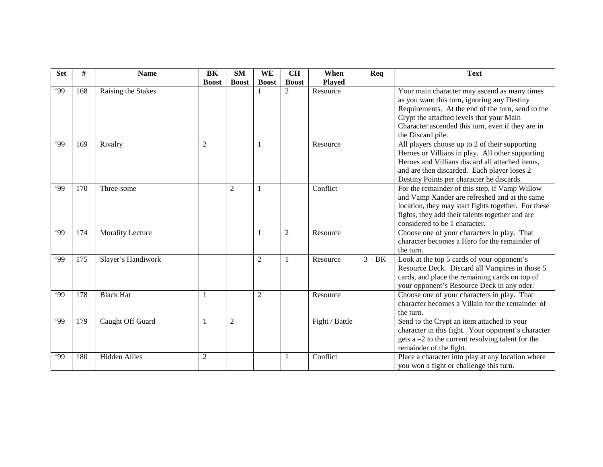| <b>Set</b> | #   | <b>Name</b>             | BK             | <b>SM</b>      | WE             | <b>CH</b>      | When           | Req      | <b>Text</b>                                                                                                                                                                                                                                                            |
|------------|-----|-------------------------|----------------|----------------|----------------|----------------|----------------|----------|------------------------------------------------------------------------------------------------------------------------------------------------------------------------------------------------------------------------------------------------------------------------|
|            |     |                         | <b>Boost</b>   | <b>Boost</b>   | <b>Boost</b>   | <b>Boost</b>   | <b>Played</b>  |          |                                                                                                                                                                                                                                                                        |
| .99        | 168 | Raising the Stakes      |                |                |                | $\overline{2}$ | Resource       |          | Your main character may ascend as many times<br>as you want this turn, ignoring any Destiny<br>Requirements. At the end of the turn, send to the<br>Crypt the attached levels that your Main<br>Character ascended this turn, even if they are in<br>the Discard pile. |
| 99'        | 169 | Rivalry                 | $\overline{2}$ |                |                |                | Resource       |          | All players choose up to 2 of their supporting<br>Heroes or Villians in play. All other supporting<br>Heroes and Villians discard all attached items,<br>and are then discarded. Each player loses 2<br>Destiny Points per character he discards.                      |
| 99         | 170 | Three-some              |                | $\overline{2}$ |                |                | Conflict       |          | For the remainder of this step, if Vamp Willow<br>and Vamp Xander are refreshed and at the same<br>location, they may start fights together. For these<br>fights, they add their talents together and are<br>considered to be 1 character.                             |
| 99         | 174 | <b>Morality Lecture</b> |                |                |                | $\overline{2}$ | Resource       |          | Choose one of your characters in play. That<br>character becomes a Hero for the remainder of<br>the turn.                                                                                                                                                              |
| .99        | 175 | Slayer's Handiwork      |                |                | $\overline{c}$ |                | Resource       | $3 - BK$ | Look at the top 5 cards of your opponent's<br>Resource Deck. Discard all Vampires in those 5<br>cards, and place the remaining cards on top of<br>your opponent's Resource Deck in any oder.                                                                           |
| .99        | 178 | <b>Black Hat</b>        |                |                | $\overline{2}$ |                | Resource       |          | Choose one of your characters in play. That<br>character becomes a Villain for the remainder of<br>the turn.                                                                                                                                                           |
| 99         | 179 | Caught Off Guard        |                | $\overline{2}$ |                |                | Fight / Battle |          | Send to the Crypt an item attached to your<br>character in this fight. Your opponent's character<br>gets $a - 2$ to the current resolving talent for the<br>remainder of the fight.                                                                                    |
| .99        | 180 | <b>Hidden Allies</b>    | 2              |                |                |                | Conflict       |          | Place a character into play at any location where<br>you won a fight or challenge this turn.                                                                                                                                                                           |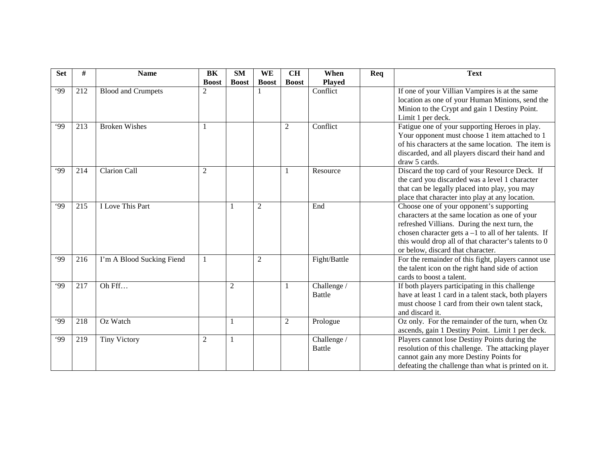| <b>Set</b> | #   | <b>Name</b>               | BK             | <b>SM</b>      | WE             | <b>CH</b>      | When          | Req | <b>Text</b>                                                                                |
|------------|-----|---------------------------|----------------|----------------|----------------|----------------|---------------|-----|--------------------------------------------------------------------------------------------|
|            |     |                           | <b>Boost</b>   | <b>Boost</b>   | <b>Boost</b>   | <b>Boost</b>   | <b>Played</b> |     |                                                                                            |
| .99        | 212 | <b>Blood and Crumpets</b> | $\overline{2}$ |                |                |                | Conflict      |     | If one of your Villian Vampires is at the same                                             |
|            |     |                           |                |                |                |                |               |     | location as one of your Human Minions, send the                                            |
|            |     |                           |                |                |                |                |               |     | Minion to the Crypt and gain 1 Destiny Point.                                              |
|            |     |                           |                |                |                |                |               |     | Limit 1 per deck.                                                                          |
| .99        | 213 | <b>Broken Wishes</b>      | $\mathbf{1}$   |                |                | $\overline{2}$ | Conflict      |     | Fatigue one of your supporting Heroes in play.                                             |
|            |     |                           |                |                |                |                |               |     | Your opponent must choose 1 item attached to 1                                             |
|            |     |                           |                |                |                |                |               |     | of his characters at the same location. The item is                                        |
|            |     |                           |                |                |                |                |               |     | discarded, and all players discard their hand and                                          |
|            |     |                           |                |                |                |                |               |     | draw 5 cards.                                                                              |
| .99        | 214 | <b>Clarion Call</b>       | $\overline{2}$ |                |                |                | Resource      |     | Discard the top card of your Resource Deck. If                                             |
|            |     |                           |                |                |                |                |               |     | the card you discarded was a level 1 character                                             |
|            |     |                           |                |                |                |                |               |     | that can be legally placed into play, you may                                              |
| .99        |     | I Love This Part          |                |                |                |                | End           |     | place that character into play at any location.                                            |
|            | 215 |                           |                | -1             | $\overline{2}$ |                |               |     | Choose one of your opponent's supporting<br>characters at the same location as one of your |
|            |     |                           |                |                |                |                |               |     |                                                                                            |
|            |     |                           |                |                |                |                |               |     | refreshed Villians. During the next turn, the                                              |
|            |     |                           |                |                |                |                |               |     | chosen character gets $a - 1$ to all of her talents. If                                    |
|            |     |                           |                |                |                |                |               |     | this would drop all of that character's talents to 0<br>or below, discard that character.  |
| .99        |     |                           |                |                |                |                |               |     |                                                                                            |
|            | 216 | I'm A Blood Sucking Fiend | $\mathbf{1}$   |                | $\overline{c}$ |                | Fight/Battle  |     | For the remainder of this fight, players cannot use                                        |
|            |     |                           |                |                |                |                |               |     | the talent icon on the right hand side of action<br>cards to boost a talent.               |
|            |     |                           |                |                |                |                |               |     |                                                                                            |
| .99        | 217 | Oh Fff                    |                | $\overline{2}$ |                |                | Challenge /   |     | If both players participating in this challenge                                            |
|            |     |                           |                |                |                |                | <b>Battle</b> |     | have at least 1 card in a talent stack, both players                                       |
|            |     |                           |                |                |                |                |               |     | must choose 1 card from their own talent stack,<br>and discard it.                         |
|            |     |                           |                |                |                |                |               |     |                                                                                            |
| .99        | 218 | Oz Watch                  |                | 1              |                | $\overline{2}$ | Prologue      |     | Oz only. For the remainder of the turn, when Oz                                            |
|            |     |                           |                |                |                |                |               |     | ascends, gain 1 Destiny Point. Limit 1 per deck.                                           |
| .99        | 219 | <b>Tiny Victory</b>       | $\overline{2}$ | 1              |                |                | Challenge /   |     | Players cannot lose Destiny Points during the                                              |
|            |     |                           |                |                |                |                | <b>Battle</b> |     | resolution of this challenge. The attacking player                                         |
|            |     |                           |                |                |                |                |               |     | cannot gain any more Destiny Points for                                                    |
|            |     |                           |                |                |                |                |               |     | defeating the challenge than what is printed on it.                                        |